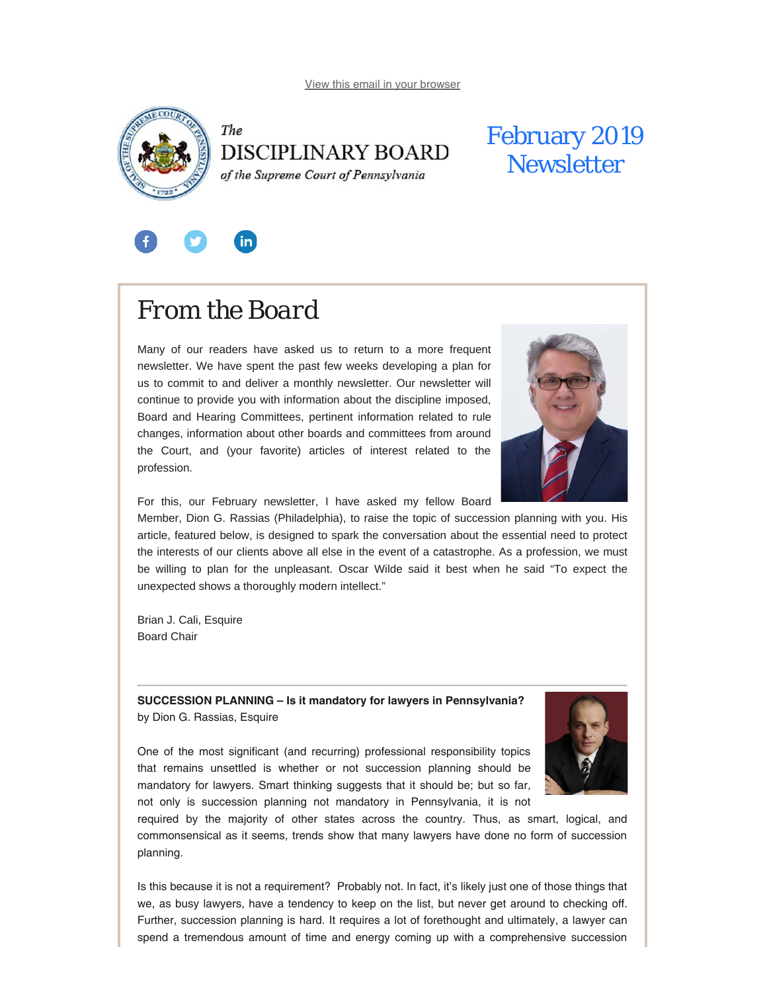<span id="page-0-0"></span>



### February 2019 **Newsletter**



# *From the Board*

Many of our readers have asked us to return to a more frequent newsletter. We have spent the past few weeks developing a plan for us to commit to and deliver a monthly newsletter. Our newsletter will continue to provide you with information about the discipline imposed, Board and Hearing Committees, pertinent information related to rule changes, information about other boards and committees from around the Court, and (your favorite) articles of interest related to the profession.



For this, our February newsletter, I have asked my fellow Board

Member, Dion G. Rassias (Philadelphia), to raise the topic of succession planning with you. His article, featured below, is designed to spark the conversation about the essential need to protect the interests of our clients above all else in the event of a catastrophe. As a profession, we must be willing to plan for the unpleasant. Oscar Wilde said it best when he said "To expect the unexpected shows a thoroughly modern intellect."

Brian J. Cali, Esquire Board Chair

**SUCCESSION PLANNING – Is it mandatory for lawyers in Pennsylvania?** by Dion G. Rassias, Esquire

One of the most significant (and recurring) professional responsibility topics that remains unsettled is whether or not succession planning should be mandatory for lawyers. Smart thinking suggests that it should be; but so far, not only is succession planning not mandatory in Pennsylvania, it is not



required by the majority of other states across the country. Thus, as smart, logical, and commonsensical as it seems, trends show that many lawyers have done no form of succession planning.

Is this because it is not a requirement? Probably not. In fact, it's likely just one of those things that we, as busy lawyers, have a tendency to keep on the list, but never get around to checking off. Further, succession planning is hard. It requires a lot of forethought and ultimately, a lawyer can spend a tremendous amount of time and energy coming up with a comprehensive succession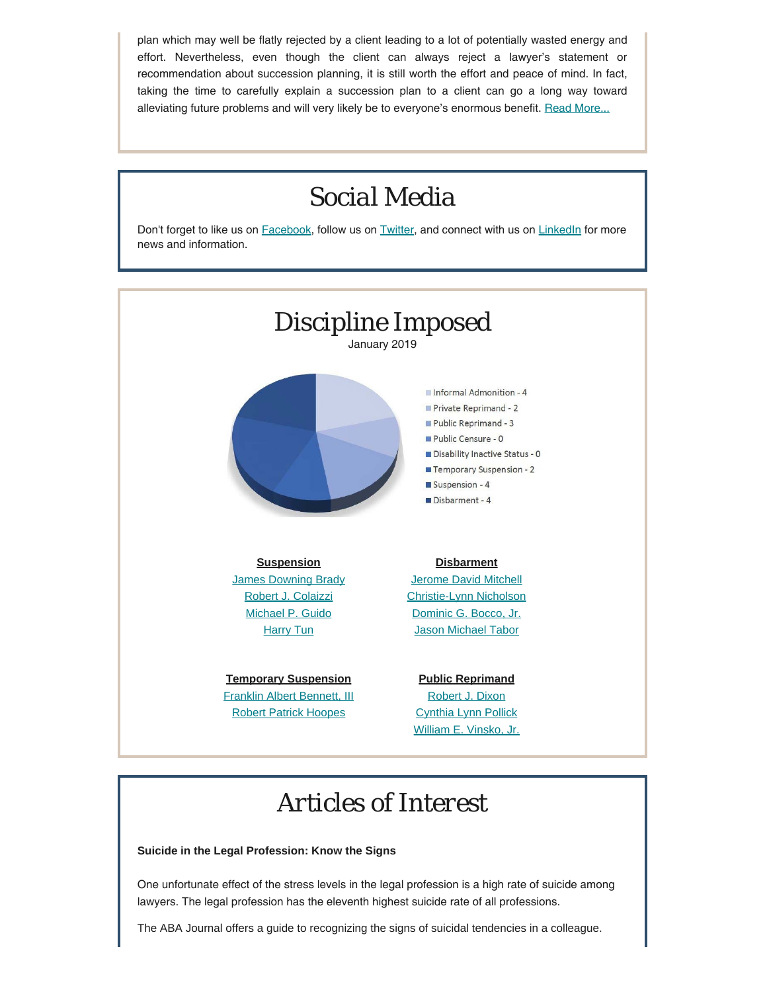plan which may well be flatly rejected by a client leading to a lot of potentially wasted energy and effort. Nevertheless, even though the client can always reject a lawyer's statement or recommendation about succession planning, it is still worth the effort and peace of mind. In fact, taking the time to carefully explain a succession plan to a client can go a long way toward alleviating future problems and will very likely be to everyone's enormous benefit. [Read More...](https://www.padisciplinaryboard.org/news-media/news-article/68/succession-planning---is-it-mandatory-for-lawyers-in-pennsylvania)

### *Social Media* Don't forget to like us on **[Facebook](https://www.facebook.com/DBoardPA)**, follow us on **[Twitter](https://twitter.com/DBoardPa)**, and connect with us on **[LinkedIn](https://www.linkedin.com/company/pennsylvania-disciplinary-board/)** for more news and information. *Discipline Imposed* January 2019 Informal Admonition - 4 Private Reprimand - 2 Public Reprimand - 3 Public Censure - 0 Disability Inactive Status - 0 Temporary Suspension - 2 Suspension - 4 Disbarment - 4 **Suspension Disbarment** [James Downing Brady](http://www.pacourts.us/assets/opinions/DisciplinaryBoard/out/Brady%20Suspension%20Order.pdf) [Jerome David Mitchell](http://www.pacourts.us/assets/opinions/DisciplinaryBoard/out/Mitchell%20Disbarment%20Order.pdf) [Robert J. Colaizzi](http://www.pacourts.us/assets/opinions/DisciplinaryBoard/out/120DB2016-Colaizzi.pdf) [Christie-Lynn Nicholson](http://www.pacourts.us/assets/opinions/DisciplinaryBoard/out/Nicholson%20Disbarment%20Order.pdf) [Michael P. Guido](http://www.pacourts.us/assets/opinions/DisciplinaryBoard/out/Guido.pdf) [Dominic G. Bocco, Jr.](http://www.pacourts.us/assets/opinions/DisciplinaryBoard/out/Bocco%20Disbarment%20Order.pdf) **[Harry Tun](http://www.pacourts.us/assets/opinions/DisciplinaryBoard/out/Tun.pdf)** [Jason Michael Tabor](http://www.pacourts.us/assets/opinions/DisciplinaryBoard/out/Tabor.pdf) **Temporary Suspension Public Reprimand** [Franklin Albert Bennett, III](http://www.pacourts.us/assets/opinions/DisciplinaryBoard/out/Bennett%20Order.pdf) [Robert J. Dixon](http://www.pacourts.us/assets/opinions/DisciplinaryBoard/out/162DB2018-Dixon.pdf) [Robert Patrick Hoopes](http://www.pacourts.us/assets/opinions/DisciplinaryBoard/out/HoopesTemporarySuspensionOrder.pdf) [Cynthia Lynn Pollick](http://www.pacourts.us/assets/opinions/DisciplinaryBoard/out/5DB2018-Pollick.pdf) [William E. Vinsko, Jr.](http://www.pacourts.us/assets/opinions/DisciplinaryBoard/out/186DB2018-Vinsko.pdf)

# *Articles of Interest*

### **Suicide in the Legal Profession: Know the Signs**

One unfortunate effect of the stress levels in the legal profession is a high rate of suicide among lawyers. The legal profession has the eleventh highest suicide rate of all professions.

The ABA Journal offers a guide to recognizing the signs of suicidal tendencies in a colleague.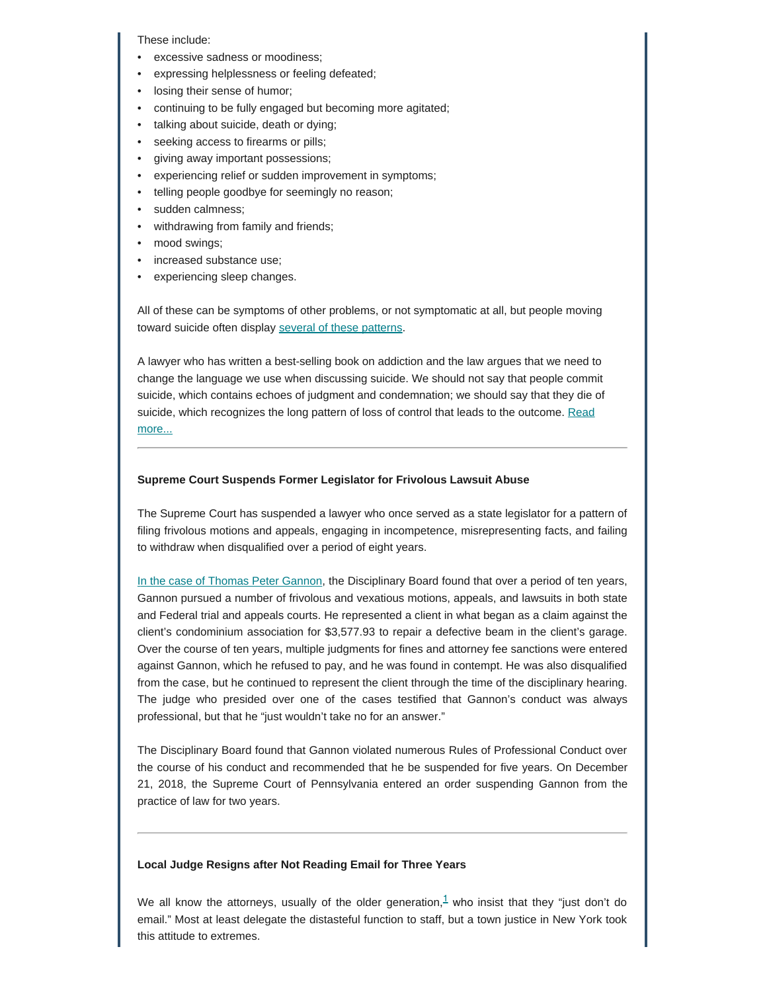These include:

- excessive sadness or moodiness;
- expressing helplessness or feeling defeated;
- losing their sense of humor;
- continuing to be fully engaged but becoming more agitated;
- talking about suicide, death or dying;
- seeking access to firearms or pills;
- giving away important possessions;
- experiencing relief or sudden improvement in symptoms;
- telling people goodbye for seemingly no reason;
- sudden calmness;
- withdrawing from family and friends;
- mood swings;
- increased substance use;
- experiencing sleep changes.

All of these can be symptoms of other problems, or not symptomatic at all, but people moving toward suicide often display [several of these patterns](http://www.abajournal.com/magazine/article/attorney_suicide_what_every_lawyer_needs_to_know/?fbclid=IwAR0TFmevE_ZOPasTsPUsioC-Jj3h89ibJDjSokIJVU30kR7QaJWzMAO9EMM).

A lawyer who has written a best-selling book on addiction and the law argues that we need to change the language we use when discussing suicide. We should not say that people commit suicide, which contains echoes of judgment and condemnation; we should say that they die of suicide, which recognizes the long pattern of loss of control that leads to the outcome. [Read](https://abovethelaw.com/2019/01/changing-the-language-around-suicide/) [more...](https://abovethelaw.com/2019/01/changing-the-language-around-suicide/)

#### **Supreme Court Suspends Former Legislator for Frivolous Lawsuit Abuse**

The Supreme Court has suspended a lawyer who once served as a state legislator for a pattern of filing frivolous motions and appeals, engaging in incompetence, misrepresenting facts, and failing to withdraw when disqualified over a period of eight years.

[In the case of Thomas Peter Gannon](http://www.pacourts.us/assets/opinions/DisciplinaryBoard/out/123DB2017-Gannon.pdf), the Disciplinary Board found that over a period of ten years, Gannon pursued a number of frivolous and vexatious motions, appeals, and lawsuits in both state and Federal trial and appeals courts. He represented a client in what began as a claim against the client's condominium association for \$3,577.93 to repair a defective beam in the client's garage. Over the course of ten years, multiple judgments for fines and attorney fee sanctions were entered against Gannon, which he refused to pay, and he was found in contempt. He was also disqualified from the case, but he continued to represent the client through the time of the disciplinary hearing. The judge who presided over one of the cases testified that Gannon's conduct was always professional, but that he "just wouldn't take no for an answer."

The Disciplinary Board found that Gannon violated numerous Rules of Professional Conduct over the course of his conduct and recommended that he be suspended for five years. On December 21, 2018, the Supreme Court of Pennsylvania entered an order suspending Gannon from the practice of law for two years.

### **Local Judge Resigns after Not Reading Email for Three Years**

<span id="page-2-0"></span>We all know the attorneys, usually of the older generation, $1$  who insist that they "just don't do email." Most at least delegate the distasteful function to staff, but a town justice in New York took this attitude to extremes.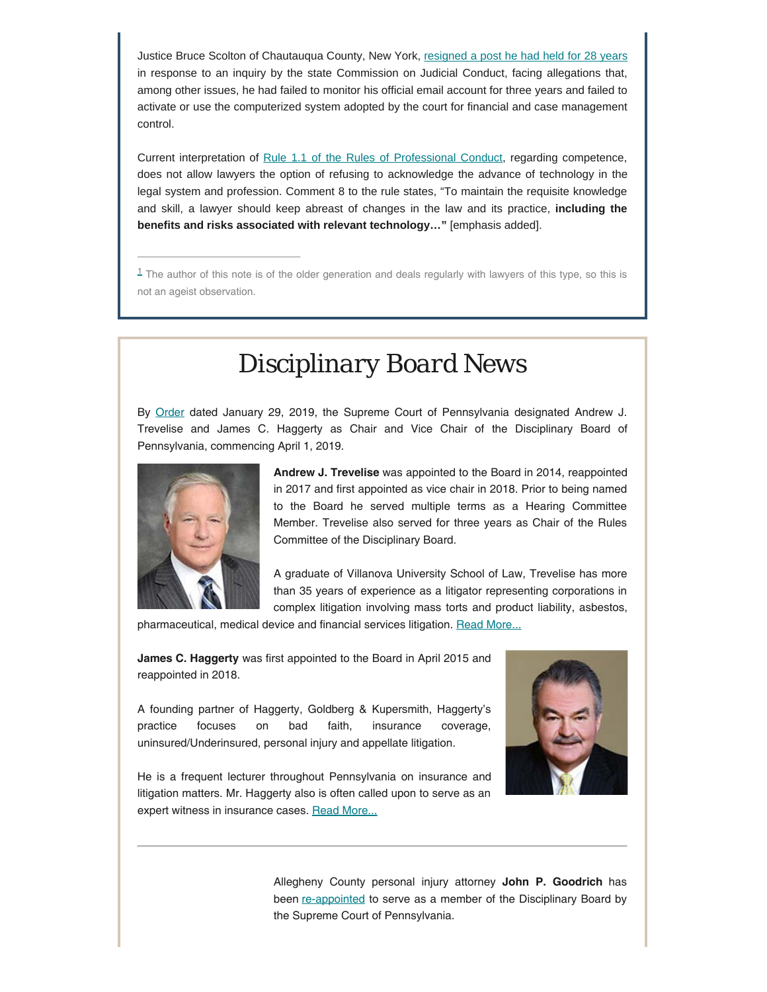Justice Bruce Scolton of Chautauqua County, New York, [resigned a post he had held for 28 years](http://cjc.ny.gov/Press.Releases/2018.Releases/Scolton.Bruce.S.Release.2018-12-13.pdf) in response to an inquiry by the state Commission on Judicial Conduct, facing allegations that, among other issues, he had failed to monitor his official email account for three years and failed to activate or use the computerized system adopted by the court for financial and case management control.

Current interpretation of [Rule 1.1 of the Rules of Professional Conduct](https://www.padisciplinaryboard.org/for-attorneys/rules/rule/3/the-rules-of-professional-conduct#rule-6), regarding competence, does not allow lawyers the option of refusing to acknowledge the advance of technology in the legal system and profession. Comment 8 to the rule states, "To maintain the requisite knowledge and skill, a lawyer should keep abreast of changes in the law and its practice, **including the benefits and risks associated with relevant technology…"** [emphasis added].

<span id="page-3-0"></span> $1$  The author of this note is of the older generation and deals regularly with lawyers of this type, so this is not an ageist observation.

### *Disciplinary Board News*

By [Order](http://www.pacourts.us/assets/opinions/Supreme/out/Order%20Entered%20%2010386102149017661.pdf) dated January 29, 2019, the Supreme Court of Pennsylvania designated Andrew J. Trevelise and James C. Haggerty as Chair and Vice Chair of the Disciplinary Board of Pennsylvania, commencing April 1, 2019.



**Andrew J. Trevelise** was appointed to the Board in 2014, reappointed in 2017 and first appointed as vice chair in 2018. Prior to being named to the Board he served multiple terms as a Hearing Committee Member. Trevelise also served for three years as Chair of the Rules Committee of the Disciplinary Board.

A graduate of Villanova University School of Law, Trevelise has more than 35 years of experience as a litigator representing corporations in complex litigation involving mass torts and product liability, asbestos,

pharmaceutical, medical device and financial services litigation. [Read More...](https://www.padisciplinaryboard.org/news-media/news-article/64/disciplinary-board-of-the-supreme-court-of-pennsylvania-announces-new-leadership)

**James C. Haggerty** was first appointed to the Board in April 2015 and reappointed in 2018.

A founding partner of Haggerty, Goldberg & Kupersmith, Haggerty's practice focuses on bad faith, insurance coverage, uninsured/Underinsured, personal injury and appellate litigation.



He is a frequent lecturer throughout Pennsylvania on insurance and litigation matters. Mr. Haggerty also is often called upon to serve as an expert witness in insurance cases. [Read More...](https://www.padisciplinaryboard.org/news-media/news-article/64/disciplinary-board-of-the-supreme-court-of-pennsylvania-announces-new-leadership)

> Allegheny County personal injury attorney **John P. Goodrich** has been [re-appointed](http://www.pacourts.us/assets/opinions/Supreme/out/Order%20Entered%20%2010386104449018832.pdf) to serve as a member of the Disciplinary Board by the Supreme Court of Pennsylvania.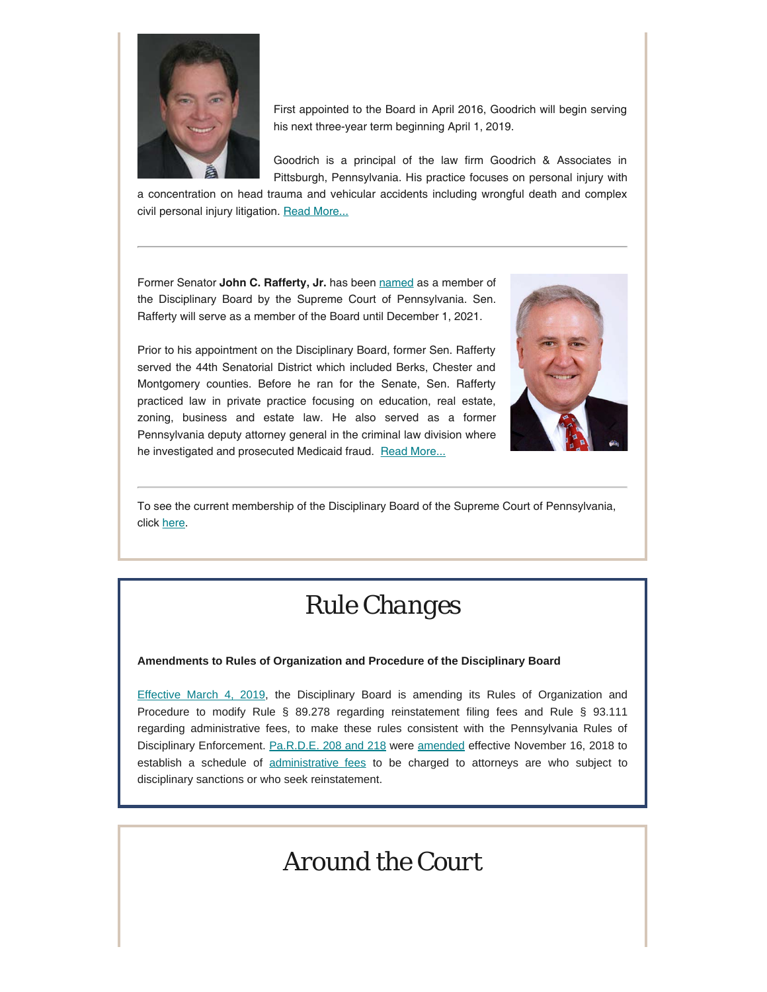

First appointed to the Board in April 2016, Goodrich will begin serving his next three-year term beginning April 1, 2019.

Goodrich is a principal of the law firm Goodrich & Associates in Pittsburgh, Pennsylvania. His practice focuses on personal injury with

a concentration on head trauma and vehicular accidents including wrongful death and complex civil personal injury litigation. [Read More...](https://www.padisciplinaryboard.org/news-media/news-article/63/allegheny-county-attorney-john-p-goodrich-re-appointed-member-of-pa-disciplinary-board)

Former Senator John C. Rafferty, Jr. has been [named](http://www.pacourts.us/assets/opinions/Supreme/out/Order%20Entered%20%2010386107049021497.pdf) as a member of the Disciplinary Board by the Supreme Court of Pennsylvania. Sen. Rafferty will serve as a member of the Board until December 1, 2021.

Prior to his appointment on the Disciplinary Board, former Sen. Rafferty served the 44th Senatorial District which included Berks, Chester and Montgomery counties. Before he ran for the Senate, Sen. Rafferty practiced law in private practice focusing on education, real estate, zoning, business and estate law. He also served as a former Pennsylvania deputy attorney general in the criminal law division where he investigated and prosecuted Medicaid fraud. [Read More...](https://www.padisciplinaryboard.org/news-media/news-article/69/former-state-senator-john-c-rafferty-jr-named-member-of-pa-disciplinary-board)



To see the current membership of the Disciplinary Board of the Supreme Court of Pennsylvania, click [here](https://www.padisciplinaryboard.org/about/leadership).

# *Rule Changes*

#### **Amendments to Rules of Organization and Procedure of the Disciplinary Board**

[Effective March 4, 2019,](https://www.pabulletin.com/secure/data/vol49/49-5/132.html) the Disciplinary Board is amending its Rules of Organization and Procedure to modify Rule § 89.278 regarding reinstatement filing fees and Rule § 93.111 regarding administrative fees, to make these rules consistent with the Pennsylvania Rules of Disciplinary Enforcement. [Pa.R.D.E. 208 and 218](http://www.pacourts.us/assets/opinions/Supreme/out/Attachment%20%2010373990143088921.pdf?cb=1) were [amended](https://www.padisciplinaryboard.org/news-media/news-article/54/supreme-court-adopts-schedule-of-fees-in-disciplinary-and-reinstatement-matters) effective November 16, 2018 to establish a schedule of [administrative fees](https://www.padisciplinaryboard.org/Storage/media/pdfs/20181114/193043-administrativefees2018-11-16.pdf) to be charged to attorneys are who subject to disciplinary sanctions or who seek reinstatement.

# *Around the Court*